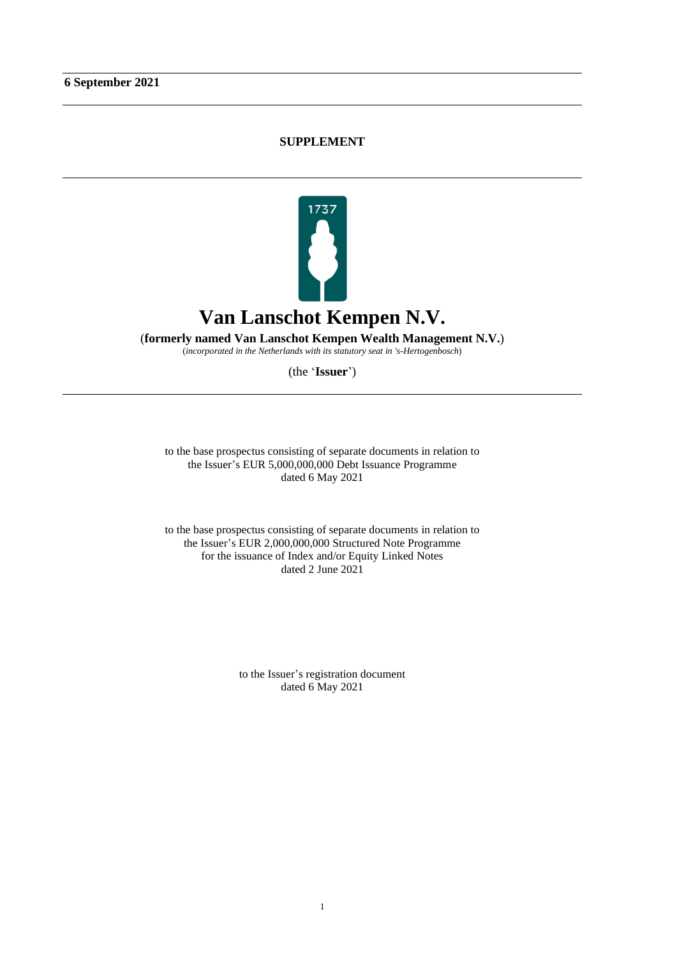## **SUPPLEMENT**



(**formerly named Van Lanschot Kempen Wealth Management N.V.**)

(*incorporated in the Netherlands with its statutory seat in 's-Hertogenbosch*)

(the '**Issuer**')

to the base prospectus consisting of separate documents in relation to the Issuer's EUR 5,000,000,000 Debt Issuance Programme dated 6 May 2021

to the base prospectus consisting of separate documents in relation to the Issuer's EUR 2,000,000,000 Structured Note Programme for the issuance of Index and/or Equity Linked Notes dated 2 June 2021

> to the Issuer's registration document dated 6 May 2021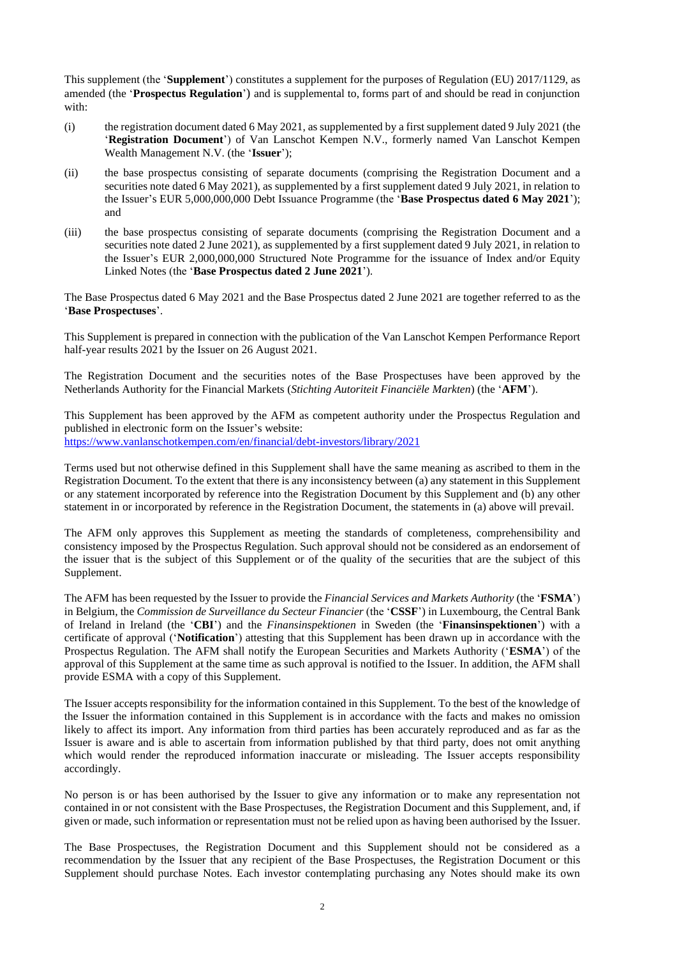This supplement (the '**Supplement**') constitutes a supplement for the purposes of Regulation (EU) 2017/1129, as amended (the '**Prospectus Regulation**') and is supplemental to, forms part of and should be read in conjunction with:

- (i) the registration document dated 6 May 2021, as supplemented by a first supplement dated 9 July 2021 (the '**Registration Document**') of Van Lanschot Kempen N.V., formerly named Van Lanschot Kempen Wealth Management N.V. (the '**Issuer**');
- (ii) the base prospectus consisting of separate documents (comprising the Registration Document and a securities note dated 6 May 2021), as supplemented by a first supplement dated 9 July 2021, in relation to the Issuer's EUR 5,000,000,000 Debt Issuance Programme (the '**Base Prospectus dated 6 May 2021**'); and
- (iii) the base prospectus consisting of separate documents (comprising the Registration Document and a securities note dated 2 June 2021), as supplemented by a first supplement dated 9 July 2021, in relation to the Issuer's EUR 2,000,000,000 Structured Note Programme for the issuance of Index and/or Equity Linked Notes (the '**Base Prospectus dated 2 June 2021**').

The Base Prospectus dated 6 May 2021 and the Base Prospectus dated 2 June 2021 are together referred to as the '**Base Prospectuses**'.

This Supplement is prepared in connection with the publication of the Van Lanschot Kempen Performance Report half-year results 2021 by the Issuer on 26 August 2021.

The Registration Document and the securities notes of the Base Prospectuses have been approved by the Netherlands Authority for the Financial Markets (*Stichting Autoriteit Financiële Markten*) (the '**AFM**').

This Supplement has been approved by the AFM as competent authority under the Prospectus Regulation and published in electronic form on the Issuer's website: <https://www.vanlanschotkempen.com/en/financial/debt-investors/library/2021>

Terms used but not otherwise defined in this Supplement shall have the same meaning as ascribed to them in the Registration Document. To the extent that there is any inconsistency between (a) any statement in this Supplement or any statement incorporated by reference into the Registration Document by this Supplement and (b) any other statement in or incorporated by reference in the Registration Document, the statements in (a) above will prevail.

The AFM only approves this Supplement as meeting the standards of completeness, comprehensibility and consistency imposed by the Prospectus Regulation. Such approval should not be considered as an endorsement of the issuer that is the subject of this Supplement or of the quality of the securities that are the subject of this Supplement.

The AFM has been requested by the Issuer to provide the *Financial Services and Markets Authority* (the '**FSMA**') in Belgium, the *Commission de Surveillance du Secteur Financier* (the '**CSSF**') in Luxembourg, the Central Bank of Ireland in Ireland (the '**CBI**') and the *Finansinspektionen* in Sweden (the '**Finansinspektionen**') with a certificate of approval ('**Notification**') attesting that this Supplement has been drawn up in accordance with the Prospectus Regulation. The AFM shall notify the European Securities and Markets Authority ('**ESMA**') of the approval of this Supplement at the same time as such approval is notified to the Issuer. In addition, the AFM shall provide ESMA with a copy of this Supplement.

The Issuer accepts responsibility for the information contained in this Supplement. To the best of the knowledge of the Issuer the information contained in this Supplement is in accordance with the facts and makes no omission likely to affect its import. Any information from third parties has been accurately reproduced and as far as the Issuer is aware and is able to ascertain from information published by that third party, does not omit anything which would render the reproduced information inaccurate or misleading. The Issuer accepts responsibility accordingly.

No person is or has been authorised by the Issuer to give any information or to make any representation not contained in or not consistent with the Base Prospectuses, the Registration Document and this Supplement, and, if given or made, such information or representation must not be relied upon as having been authorised by the Issuer.

The Base Prospectuses, the Registration Document and this Supplement should not be considered as a recommendation by the Issuer that any recipient of the Base Prospectuses, the Registration Document or this Supplement should purchase Notes. Each investor contemplating purchasing any Notes should make its own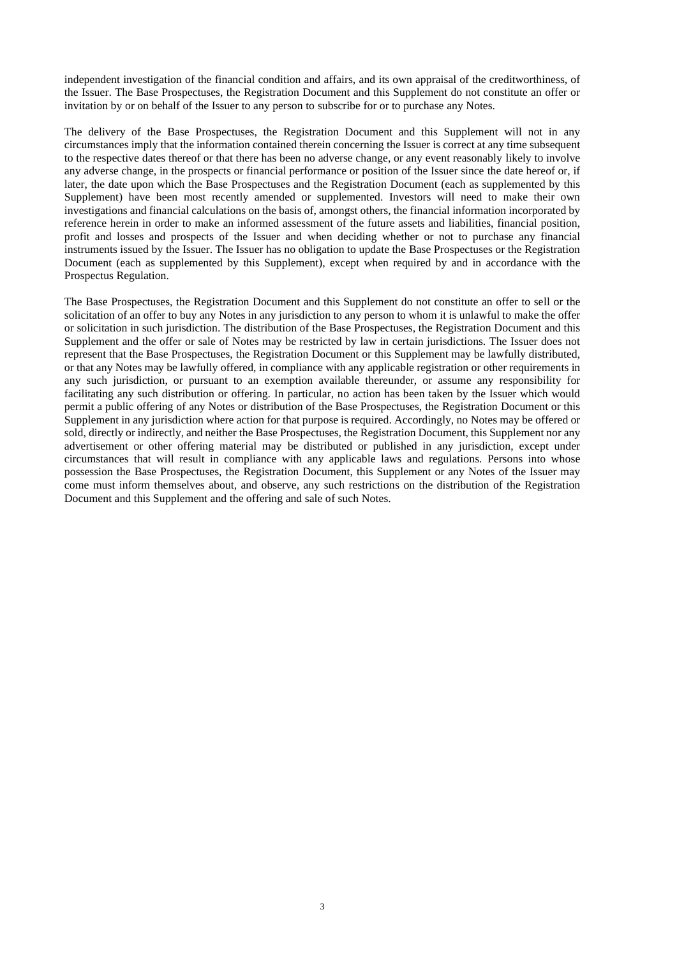independent investigation of the financial condition and affairs, and its own appraisal of the creditworthiness, of the Issuer. The Base Prospectuses, the Registration Document and this Supplement do not constitute an offer or invitation by or on behalf of the Issuer to any person to subscribe for or to purchase any Notes.

The delivery of the Base Prospectuses, the Registration Document and this Supplement will not in any circumstances imply that the information contained therein concerning the Issuer is correct at any time subsequent to the respective dates thereof or that there has been no adverse change, or any event reasonably likely to involve any adverse change, in the prospects or financial performance or position of the Issuer since the date hereof or, if later, the date upon which the Base Prospectuses and the Registration Document (each as supplemented by this Supplement) have been most recently amended or supplemented. Investors will need to make their own investigations and financial calculations on the basis of, amongst others, the financial information incorporated by reference herein in order to make an informed assessment of the future assets and liabilities, financial position, profit and losses and prospects of the Issuer and when deciding whether or not to purchase any financial instruments issued by the Issuer. The Issuer has no obligation to update the Base Prospectuses or the Registration Document (each as supplemented by this Supplement), except when required by and in accordance with the Prospectus Regulation.

The Base Prospectuses, the Registration Document and this Supplement do not constitute an offer to sell or the solicitation of an offer to buy any Notes in any jurisdiction to any person to whom it is unlawful to make the offer or solicitation in such jurisdiction. The distribution of the Base Prospectuses, the Registration Document and this Supplement and the offer or sale of Notes may be restricted by law in certain jurisdictions. The Issuer does not represent that the Base Prospectuses, the Registration Document or this Supplement may be lawfully distributed, or that any Notes may be lawfully offered, in compliance with any applicable registration or other requirements in any such jurisdiction, or pursuant to an exemption available thereunder, or assume any responsibility for facilitating any such distribution or offering. In particular, no action has been taken by the Issuer which would permit a public offering of any Notes or distribution of the Base Prospectuses, the Registration Document or this Supplement in any jurisdiction where action for that purpose is required. Accordingly, no Notes may be offered or sold, directly or indirectly, and neither the Base Prospectuses, the Registration Document, this Supplement nor any advertisement or other offering material may be distributed or published in any jurisdiction, except under circumstances that will result in compliance with any applicable laws and regulations. Persons into whose possession the Base Prospectuses, the Registration Document, this Supplement or any Notes of the Issuer may come must inform themselves about, and observe, any such restrictions on the distribution of the Registration Document and this Supplement and the offering and sale of such Notes.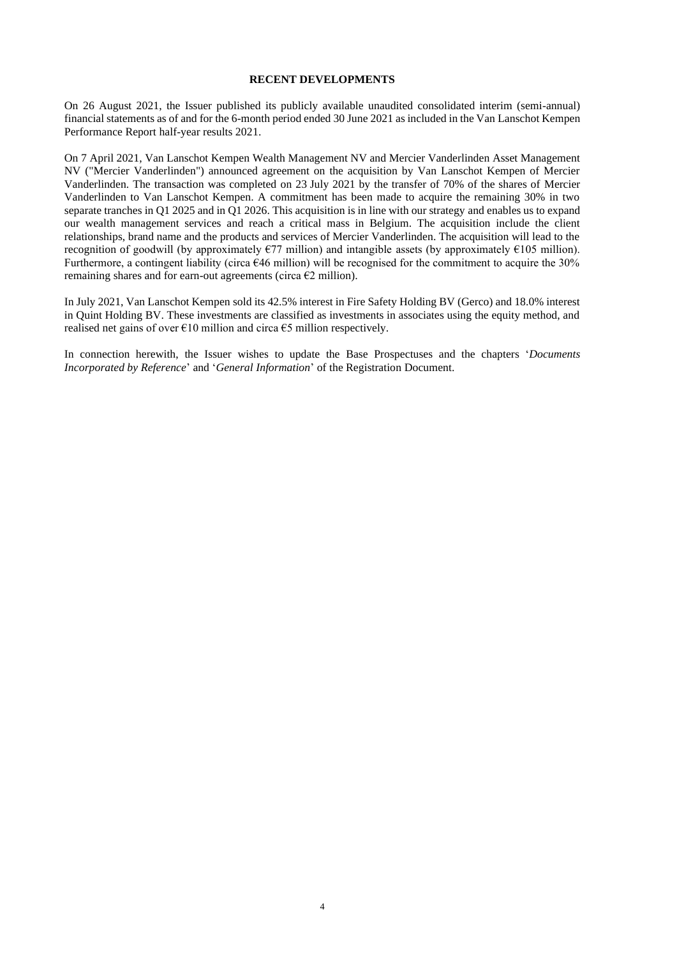## **RECENT DEVELOPMENTS**

On 26 August 2021, the Issuer published its publicly available unaudited consolidated interim (semi-annual) financial statements as of and for the 6-month period ended 30 June 2021 as included in the Van Lanschot Kempen Performance Report half-year results 2021.

On 7 April 2021, Van Lanschot Kempen Wealth Management NV and Mercier Vanderlinden Asset Management NV ("Mercier Vanderlinden") announced agreement on the acquisition by Van Lanschot Kempen of Mercier Vanderlinden. The transaction was completed on 23 July 2021 by the transfer of 70% of the shares of Mercier Vanderlinden to Van Lanschot Kempen. A commitment has been made to acquire the remaining 30% in two separate tranches in Q1 2025 and in Q1 2026. This acquisition is in line with our strategy and enables us to expand our wealth management services and reach a critical mass in Belgium. The acquisition include the client relationships, brand name and the products and services of Mercier Vanderlinden. The acquisition will lead to the recognition of goodwill (by approximately  $\epsilon$ 77 million) and intangible assets (by approximately  $\epsilon$ 105 million). Furthermore, a contingent liability (circa  $646$  million) will be recognised for the commitment to acquire the 30% remaining shares and for earn-out agreements (circa  $\epsilon$ 2 million).

In July 2021, Van Lanschot Kempen sold its 42.5% interest in Fire Safety Holding BV (Gerco) and 18.0% interest in Quint Holding BV. These investments are classified as investments in associates using the equity method, and realised net gains of over  $\epsilon$ 10 million and circa  $\epsilon$ 5 million respectively.

In connection herewith, the Issuer wishes to update the Base Prospectuses and the chapters '*Documents Incorporated by Reference*' and '*General Information*' of the Registration Document.